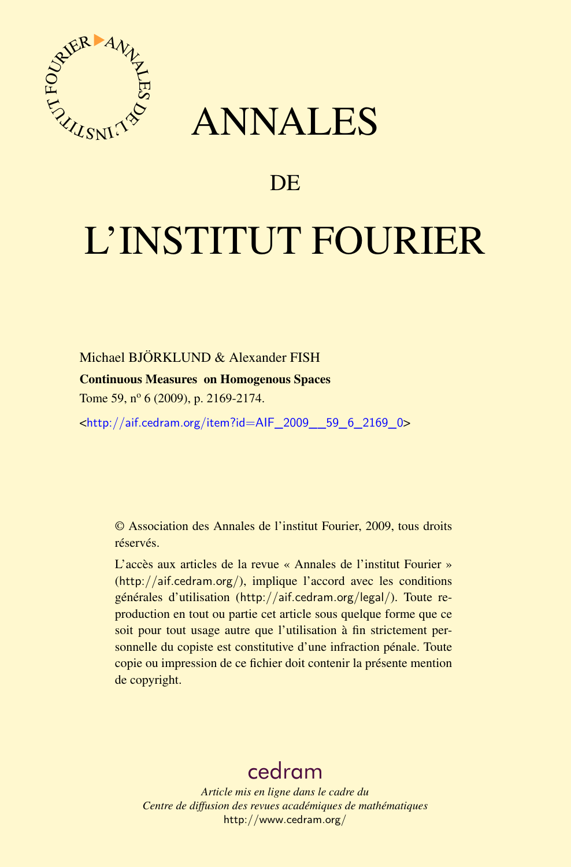

## ANNALES

## **DE**

# L'INSTITUT FOURIER

Michael BJÖRKLUND & Alexander FISH

#### Continuous Measures on Homogenous Spaces

Tome 59, nº 6 (2009), p. 2169-2174.

<[http://aif.cedram.org/item?id=AIF\\_2009\\_\\_59\\_6\\_2169\\_0](http://aif.cedram.org/item?id=AIF_2009__59_6_2169_0)>

© Association des Annales de l'institut Fourier, 2009, tous droits réservés.

L'accès aux articles de la revue « Annales de l'institut Fourier » (<http://aif.cedram.org/>), implique l'accord avec les conditions générales d'utilisation (<http://aif.cedram.org/legal/>). Toute reproduction en tout ou partie cet article sous quelque forme que ce soit pour tout usage autre que l'utilisation à fin strictement personnelle du copiste est constitutive d'une infraction pénale. Toute copie ou impression de ce fichier doit contenir la présente mention de copyright.

## [cedram](http://www.cedram.org/)

*Article mis en ligne dans le cadre du Centre de diffusion des revues académiques de mathématiques* <http://www.cedram.org/>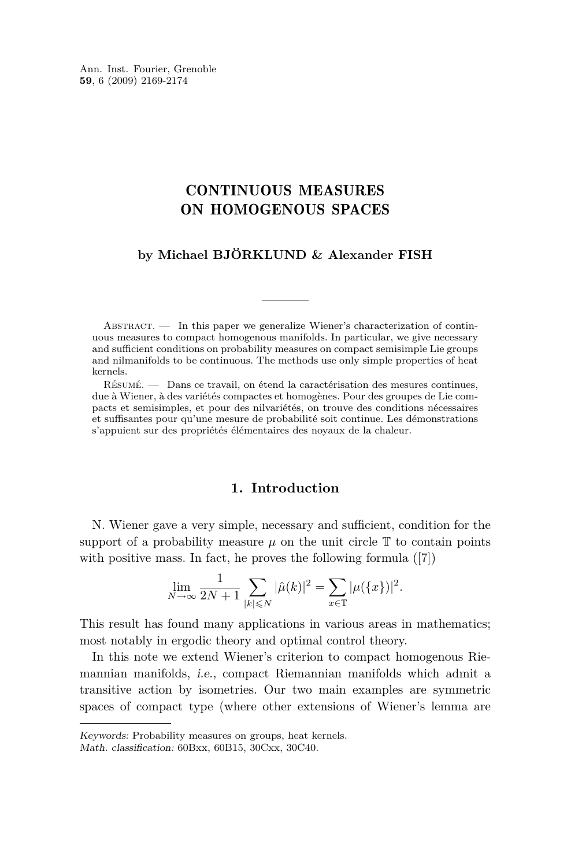Ann. Inst. Fourier, Grenoble **59**, 6 (2009) 2169-2174

### CONTINUOUS MEASURES ON HOMOGENOUS SPACES

#### **by Michael BJÖRKLUND & Alexander FISH**

ABSTRACT.  $\qquad$  In this paper we generalize Wiener's characterization of continuous measures to compact homogenous manifolds. In particular, we give necessary and sufficient conditions on probability measures on compact semisimple Lie groups and nilmanifolds to be continuous. The methods use only simple properties of heat kernels.

Résumé. — Dans ce travail, on étend la caractérisation des mesures continues, due à Wiener, à des variétés compactes et homogènes. Pour des groupes de Lie compacts et semisimples, et pour des nilvariétés, on trouve des conditions nécessaires et suffisantes pour qu'une mesure de probabilité soit continue. Les démonstrations s'appuient sur des propriétés élémentaires des noyaux de la chaleur.

#### **1. Introduction**

N. Wiener gave a very simple, necessary and sufficient, condition for the support of a probability measure  $\mu$  on the unit circle  $\mathbb T$  to contain points with positive mass. In fact, he proves the following formula ([\[7\]](#page-6-0))

$$
\lim_{N \to \infty} \frac{1}{2N+1} \sum_{|k| \leq N} |\hat{\mu}(k)|^2 = \sum_{x \in \mathbb{T}} |\mu({x})|^2.
$$

This result has found many applications in various areas in mathematics; most notably in ergodic theory and optimal control theory.

In this note we extend Wiener's criterion to compact homogenous Riemannian manifolds, i.e., compact Riemannian manifolds which admit a transitive action by isometries. Our two main examples are symmetric spaces of compact type (where other extensions of Wiener's lemma are

Keywords: Probability measures on groups, heat kernels.

Math. classification: 60Bxx, 60B15, 30Cxx, 30C40.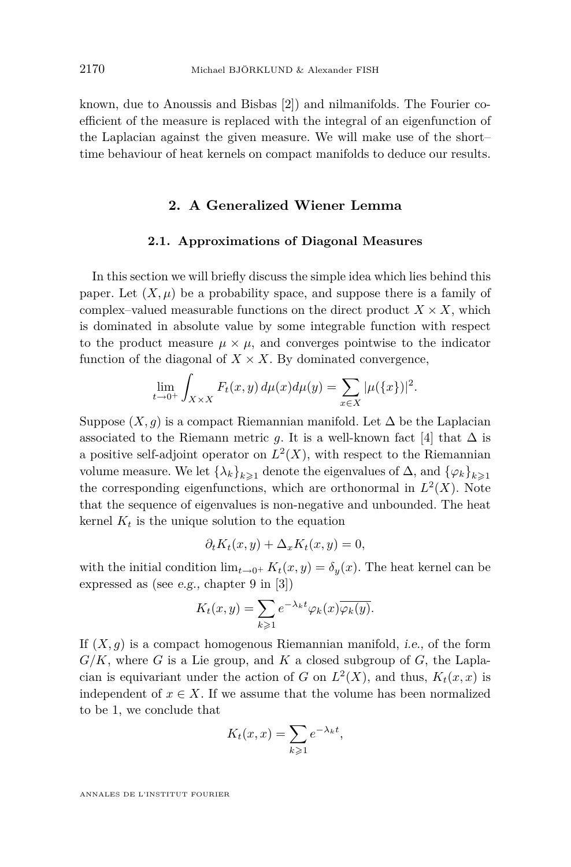known, due to Anoussis and Bisbas [\[2\]](#page-6-0)) and nilmanifolds. The Fourier coefficient of the measure is replaced with the integral of an eigenfunction of the Laplacian against the given measure. We will make use of the short– time behaviour of heat kernels on compact manifolds to deduce our results.

#### **2. A Generalized Wiener Lemma**

#### **2.1. Approximations of Diagonal Measures**

In this section we will briefly discuss the simple idea which lies behind this paper. Let  $(X, \mu)$  be a probability space, and suppose there is a family of complex–valued measurable functions on the direct product  $X \times X$ , which is dominated in absolute value by some integrable function with respect to the product measure  $\mu \times \mu$ , and converges pointwise to the indicator function of the diagonal of  $X \times X$ . By dominated convergence,

$$
\lim_{t \to 0^+} \int_{X \times X} F_t(x, y) \, d\mu(x) d\mu(y) = \sum_{x \in X} |\mu(\{x\})|^2.
$$

Suppose  $(X, q)$  is a compact Riemannian manifold. Let  $\Delta$  be the Laplacian associated to the Riemann metric *g*. It is a well-known fact [\[4\]](#page-6-0) that  $\Delta$  is a positive self-adjoint operator on  $L^2(X)$ , with respect to the Riemannian volume measure. We let  $\{\lambda_k\}_{k\geqslant 1}$  denote the eigenvalues of  $\Delta$ , and  $\{\varphi_k\}_{k\geqslant 1}$ the corresponding eigenfunctions, which are orthonormal in  $L^2(X)$ . Note that the sequence of eigenvalues is non-negative and unbounded. The heat kernel  $K_t$  is the unique solution to the equation

$$
\partial_t K_t(x, y) + \Delta_x K_t(x, y) = 0,
$$

with the initial condition  $\lim_{t\to 0^+} K_t(x,y) = \delta_y(x)$ . The heat kernel can be expressed as (see e.g., chapter 9 in [\[3\]](#page-6-0))

$$
K_t(x,y) = \sum_{k \geq 1} e^{-\lambda_k t} \varphi_k(x) \overline{\varphi_k(y)}.
$$

If  $(X, g)$  is a compact homogenous Riemannian manifold, *i.e.*, of the form  $G/K$ , where *G* is a Lie group, and *K* a closed subgroup of *G*, the Laplacian is equivariant under the action of *G* on  $L^2(X)$ , and thus,  $K_t(x, x)$  is independent of  $x \in X$ . If we assume that the volume has been normalized to be 1, we conclude that

$$
K_t(x,x) = \sum_{k \geqslant 1} e^{-\lambda_k t},
$$

ANNALES DE L'INSTITUT FOURIER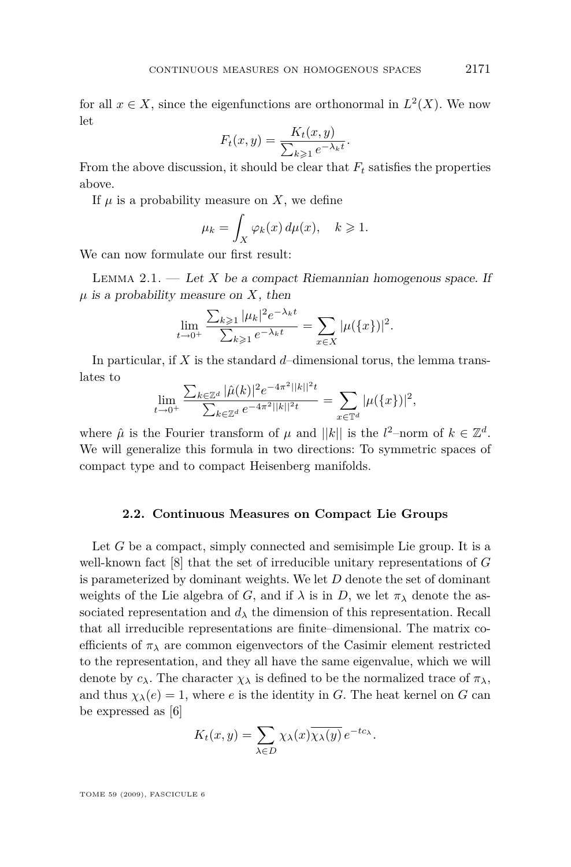<span id="page-3-0"></span>for all  $x \in X$ , since the eigenfunctions are orthonormal in  $L^2(X)$ . We now let

$$
F_t(x,y) = \frac{K_t(x,y)}{\sum_{k\geqslant 1} e^{-\lambda_k t}}.
$$

From the above discussion, it should be clear that *F<sup>t</sup>* satisfies the properties above.

If  $\mu$  is a probability measure on X, we define

$$
\mu_k = \int_X \varphi_k(x) \, d\mu(x), \quad k \geqslant 1.
$$

We can now formulate our first result:

LEMMA  $2.1.$  — Let *X* be a compact Riemannian homogenous space. If *µ* is a probability measure on *X*, then

$$
\lim_{t \to 0^+} \frac{\sum_{k \geq 1} |\mu_k|^2 e^{-\lambda_k t}}{\sum_{k \geq 1} e^{-\lambda_k t}} = \sum_{x \in X} |\mu({x})|^2.
$$

In particular, if *X* is the standard *d*–dimensional torus, the lemma translates to

$$
\lim_{t \to 0^+} \frac{\sum_{k \in \mathbb{Z}^d} |\hat{\mu}(k)|^2 e^{-4\pi^2 ||k||^2 t}}{\sum_{k \in \mathbb{Z}^d} e^{-4\pi^2 ||k||^2 t}} = \sum_{x \in \mathbb{T}^d} |\mu(\{x\})|^2,
$$

where  $\hat{\mu}$  is the Fourier transform of  $\mu$  and  $||k||$  is the  $l^2$ -norm of  $k \in \mathbb{Z}^d$ . We will generalize this formula in two directions: To symmetric spaces of compact type and to compact Heisenberg manifolds.

#### **2.2. Continuous Measures on Compact Lie Groups**

Let *G* be a compact, simply connected and semisimple Lie group. It is a well-known fact [\[8\]](#page-6-0) that the set of irreducible unitary representations of *G* is parameterized by dominant weights. We let *D* denote the set of dominant weights of the Lie algebra of *G*, and if  $\lambda$  is in *D*, we let  $\pi_{\lambda}$  denote the associated representation and  $d<sub>\lambda</sub>$  the dimension of this representation. Recall that all irreducible representations are finite–dimensional. The matrix coefficients of  $\pi_{\lambda}$  are common eigenvectors of the Casimir element restricted to the representation, and they all have the same eigenvalue, which we will denote by  $c_{\lambda}$ . The character  $\chi_{\lambda}$  is defined to be the normalized trace of  $\pi_{\lambda}$ , and thus  $\chi_{\lambda}(e) = 1$ , where *e* is the identity in *G*. The heat kernel on *G* can be expressed as [\[6\]](#page-6-0)

$$
K_t(x,y) = \sum_{\lambda \in D} \chi_{\lambda}(x) \overline{\chi_{\lambda}(y)} e^{-tc_{\lambda}}.
$$

TOME 59 (2009), FASCICULE 6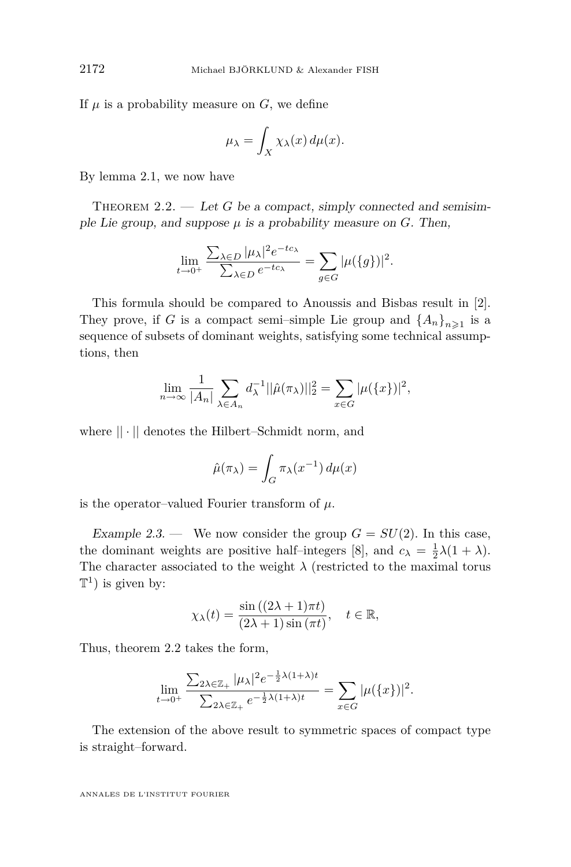If  $\mu$  is a probability measure on  $G$ , we define

$$
\mu_{\lambda} = \int_X \chi_{\lambda}(x) d\mu(x).
$$

By lemma [2.1,](#page-3-0) we now have

THEOREM 2.2. — Let  $G$  be a compact, simply connected and semisimple Lie group, and suppose  $\mu$  is a probability measure on *G*. Then,

$$
\lim_{t \to 0^+} \frac{\sum_{\lambda \in D} |\mu_{\lambda}|^2 e^{-tc_{\lambda}}}{\sum_{\lambda \in D} e^{-tc_{\lambda}}} = \sum_{g \in G} |\mu({g})|^2.
$$

This formula should be compared to Anoussis and Bisbas result in [\[2\]](#page-6-0). They prove, if *G* is a compact semi-simple Lie group and  $\{A_n\}_{n\geq 1}$  is a sequence of subsets of dominant weights, satisfying some technical assumptions, then

$$
\lim_{n \to \infty} \frac{1}{|A_n|} \sum_{\lambda \in A_n} d_{\lambda}^{-1} ||\hat{\mu}(\pi_{\lambda})||_2^2 = \sum_{x \in G} |\mu(\{x\})|^2,
$$

where *|| · ||* denotes the Hilbert–Schmidt norm, and

$$
\hat{\mu}(\pi_{\lambda}) = \int_G \pi_{\lambda}(x^{-1}) d\mu(x)
$$

is the operator–valued Fourier transform of  $\mu$ .

Example 2.3. — We now consider the group  $G = SU(2)$ . In this case, the dominant weights are positive half-integers [\[8\]](#page-6-0), and  $c_{\lambda} = \frac{1}{2}\lambda(1 + \lambda)$ . The character associated to the weight  $\lambda$  (restricted to the maximal torus  $\mathbb{T}^1$ ) is given by:

$$
\chi_{\lambda}(t) = \frac{\sin((2\lambda + 1)\pi t)}{(2\lambda + 1)\sin(\pi t)}, \quad t \in \mathbb{R},
$$

Thus, theorem 2.2 takes the form,

$$
\lim_{t \to 0^+} \frac{\sum_{2\lambda \in \mathbb{Z}_+} |\mu_\lambda|^2 e^{-\frac{1}{2}\lambda(1+\lambda)t}}{\sum_{2\lambda \in \mathbb{Z}_+} e^{-\frac{1}{2}\lambda(1+\lambda)t}} = \sum_{x \in G} |\mu(\{x\})|^2.
$$

The extension of the above result to symmetric spaces of compact type is straight–forward.

ANNALES DE L'INSTITUT FOURIER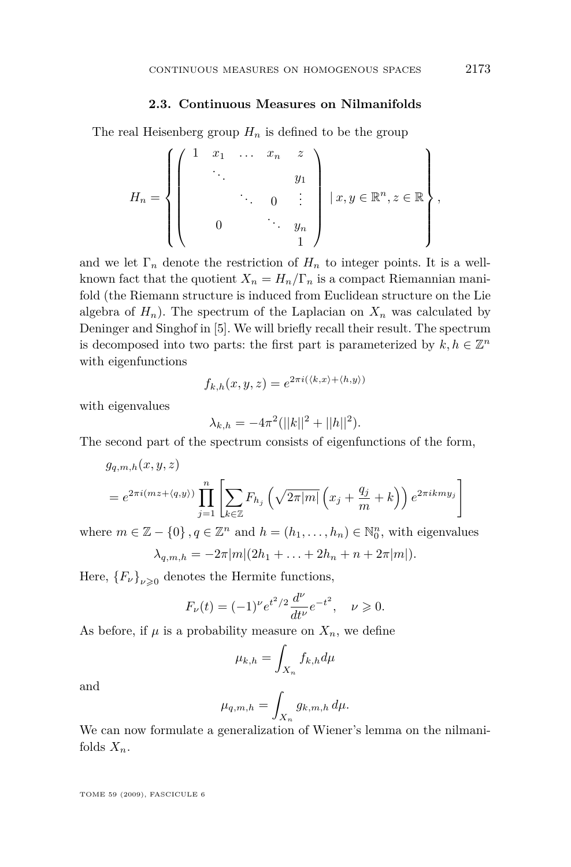#### **2.3. Continuous Measures on Nilmanifolds**

The real Heisenberg group  $H_n$  is defined to be the group

$$
H_n = \left\{ \left( \begin{array}{cccc} 1 & x_1 & \dots & x_n & z \\ \vdots & & & & \\ & & \ddots & & \\ & & & 0 & \vdots \\ & & & & & \\ 0 & & & & & & \\ & & & & & & 1 \end{array} \right) \mid x, y \in \mathbb{R}^n, z \in \mathbb{R} \right\},
$$

and we let  $\Gamma_n$  denote the restriction of  $H_n$  to integer points. It is a wellknown fact that the quotient  $X_n = H_n/\Gamma_n$  is a compact Riemannian manifold (the Riemann structure is induced from Euclidean structure on the Lie algebra of  $H_n$ ). The spectrum of the Laplacian on  $X_n$  was calculated by Deninger and Singhof in [\[5\]](#page-6-0). We will briefly recall their result. The spectrum is decomposed into two parts: the first part is parameterized by  $k, h \in \mathbb{Z}^n$ with eigenfunctions

$$
f_{k,h}(x,y,z) = e^{2\pi i(\langle k,x\rangle + \langle h,y\rangle)}
$$

with eigenvalues

$$
\lambda_{k,h} = -4\pi^2(||k||^2 + ||h||^2).
$$

The second part of the spectrum consists of eigenfunctions of the form,

$$
g_{q,m,h}(x,y,z)
$$
  
=  $e^{2\pi i(mz+\langle q,y\rangle)}\prod_{j=1}^n\left[\sum_{k\in\mathbb{Z}}F_{h_j}\left(\sqrt{2\pi|m|}\left(x_j+\frac{q_j}{m}+k\right)\right)e^{2\pi ikmy_j}\right]$ 

where  $m \in \mathbb{Z} - \{0\}$ ,  $q \in \mathbb{Z}^n$  and  $h = (h_1, \ldots, h_n) \in \mathbb{N}_0^n$ , with eigenvalues

$$
\lambda_{q,m,h} = -2\pi |m|(2h_1 + \ldots + 2h_n + n + 2\pi |m|).
$$

Here,  ${F_\nu}_{\nu \geqslant 0}$  denotes the Hermite functions,

$$
F_{\nu}(t) = (-1)^{\nu} e^{t^2/2} \frac{d^{\nu}}{dt^{\nu}} e^{-t^2}, \quad \nu \geq 0.
$$

As before, if  $\mu$  is a probability measure on  $X_n$ , we define

$$
\mu_{k,h} = \int_{X_n} f_{k,h} d\mu
$$

and

$$
\mu_{q,m,h} = \int_{X_n} g_{k,m,h} \, d\mu.
$$

We can now formulate a generalization of Wiener's lemma on the nilmanifolds  $X_n$ .

TOME 59 (2009), FASCICULE 6